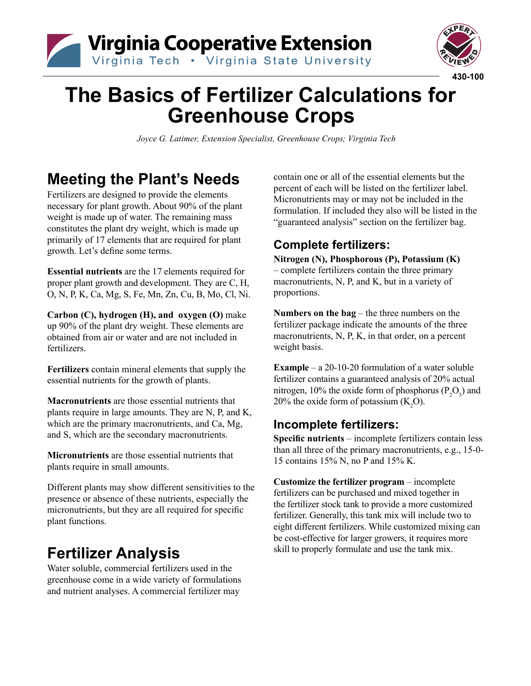



# **The Basics of Fertilizer Calculations for Greenhouse Crops**

 *Joyce G. Latimer, Extension Specialist, Greenhouse Crops; Virginia Tech* 

## **Meeting the Plant's Needs**

Fertilizers are designed to provide the elements necessary for plant growth. About 90% of the plant weight is made up of water. The remaining mass constitutes the plant dry weight, which is made up primarily of 17 elements that are required for plant growth. Let's define some terms.

**Essential nutrients** are the 17 elements required for proper plant growth and development. They are C, H, O, N, P, K, Ca, Mg, S, Fe, Mn, Zn, Cu, B, Mo, Cl, Ni.

**Carbon (C), hydrogen (H), and oxygen (O)** make up 90% of the plant dry weight. These elements are obtained from air or water and are not included in fertilizers.

**Fertilizers** contain mineral elements that supply the essential nutrients for the growth of plants.

**Macronutrients** are those essential nutrients that plants require in large amounts. They are N, P, and K, which are the primary macronutrients, and Ca, Mg, and S, which are the secondary macronutrients.

**Micronutrients** are those essential nutrients that plants require in small amounts.

Different plants may show different sensitivities to the presence or absence of these nutrients, especially the micronutrients, but they are all required for specific plant functions.

## **Fertilizer Analysis**

Water soluble, commercial fertilizers used in the greenhouse come in a wide variety of formulations and nutrient analyses. A commercial fertilizer may

contain one or all of the essential elements but the percent of each will be listed on the fertilizer label. Micronutrients may or may not be included in the formulation. If included they also will be listed in the "guaranteed analysis" section on the fertilizer bag.

### **Complete fertilizers:**

**Nitrogen (N), Phosphorous (P), Potassium (K)** – complete fertilizers contain the three primary macronutrients, N, P, and K, but in a variety of proportions.

**Numbers on the bag** – the three numbers on the fertilizer package indicate the amounts of the three macronutrients, N, P, K, in that order, on a percent weight basis.

**Example** – a 20-10-20 formulation of a water soluble fertilizer contains a guaranteed analysis of 20% actual nitrogen, 10% the oxide form of phosphorus  $(P_2O_5)$  and 20% the oxide form of potassium  $(K_2O)$ .

### **Incomplete fertilizers:**

**Specific nutrients** – incomplete fertilizers contain less than all three of the primary macronutrients, e.g., 15-0- 15 contains 15% N, no P and 15% K.

**Customize the fertilizer program** – incomplete fertilizers can be purchased and mixed together in the fertilizer stock tank to provide a more customized fertilizer. Generally, this tank mix will include two to eight different fertilizers. While customized mixing can be cost-effective for larger growers, it requires more skill to properly formulate and use the tank mix.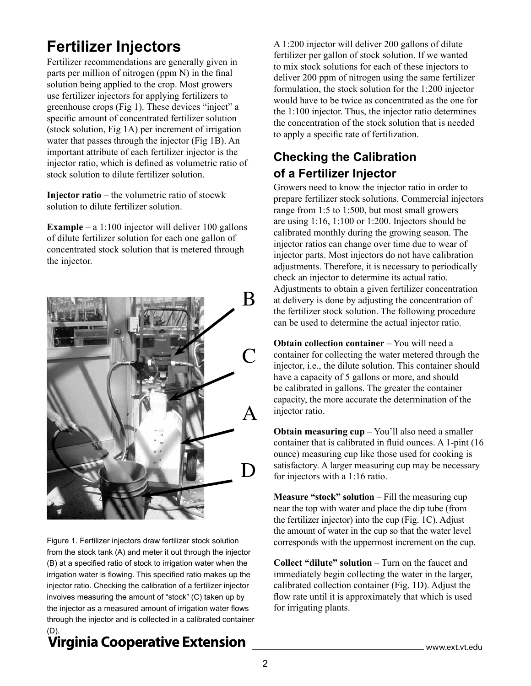## **Fertilizer Injectors**

Fertilizer recommendations are generally given in parts per million of nitrogen (ppm N) in the final solution being applied to the crop. Most growers use fertilizer injectors for applying fertilizers to greenhouse crops (Fig 1). These devices "inject" a specific amount of concentrated fertilizer solution (stock solution, Fig 1A) per increment of irrigation water that passes through the injector (Fig 1B). An important attribute of each fertilizer injector is the injector ratio, which is defined as volumetric ratio of stock solution to dilute fertilizer solution.

**Injector ratio** – the volumetric ratio of stocwk solution to dilute fertilizer solution.

**Example** – a 1:100 injector will deliver 100 gallons of dilute fertilizer solution for each one gallon of concentrated stock solution that is metered through the injector.



Figure 1. Fertilizer injectors draw fertilizer stock solution from the stock tank (A) and meter it out through the injector (B) at a specified ratio of stock to irrigation water when the irrigation water is flowing. This specified ratio makes up the injector ratio. Checking the calibration of a fertilizer injector involves measuring the amount of "stock" (C) taken up by the injector as a measured amount of irrigation water flows through the injector and is collected in a calibrated container

### Virginia Cooperative Extension

A 1:200 injector will deliver 200 gallons of dilute fertilizer per gallon of stock solution. If we wanted to mix stock solutions for each of these injectors to deliver 200 ppm of nitrogen using the same fertilizer formulation, the stock solution for the 1:200 injector would have to be twice as concentrated as the one for the 1:100 injector. Thus, the injector ratio determines the concentration of the stock solution that is needed to apply a specific rate of fertilization.

### **Checking the Calibration of a Fertilizer Injector**

Growers need to know the injector ratio in order to prepare fertilizer stock solutions. Commercial injectors range from 1:5 to 1:500, but most small growers are using 1:16, 1:100 or 1:200. Injectors should be calibrated monthly during the growing season. The injector ratios can change over time due to wear of injector parts. Most injectors do not have calibration adjustments. Therefore, it is necessary to periodically check an injector to determine its actual ratio. Adjustments to obtain a given fertilizer concentration at delivery is done by adjusting the concentration of the fertilizer stock solution. The following procedure can be used to determine the actual injector ratio.

**Obtain collection container** – You will need a container for collecting the water metered through the injector, i.e., the dilute solution. This container should have a capacity of 5 gallons or more, and should be calibrated in gallons. The greater the container capacity, the more accurate the determination of the injector ratio.

**Obtain measuring cup** – You'll also need a smaller container that is calibrated in fluid ounces. A 1-pint (16 ounce) measuring cup like those used for cooking is satisfactory. A larger measuring cup may be necessary for injectors with a 1:16 ratio.

**Measure "stock" solution** – Fill the measuring cup near the top with water and place the dip tube (from the fertilizer injector) into the cup (Fig. 1C). Adjust the amount of water in the cup so that the water level corresponds with the uppermost increment on the cup.

**Collect "dilute" solution** – Turn on the faucet and immediately begin collecting the water in the larger, calibrated collection container (Fig. 1D). Adjust the flow rate until it is approximately that which is used for irrigating plants.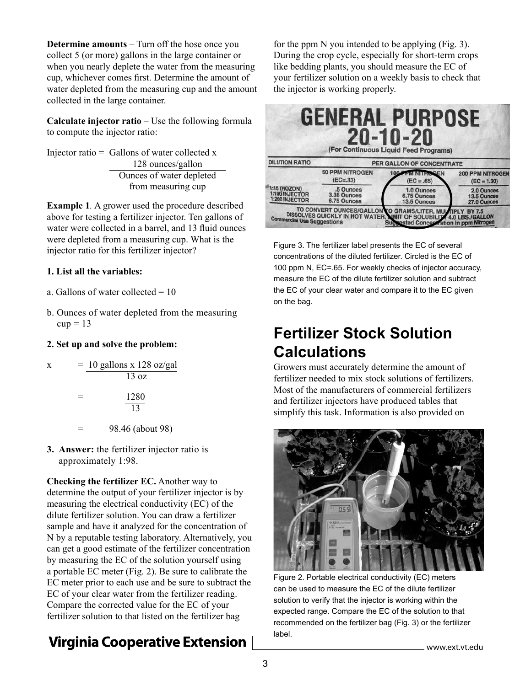**Determine amounts** – Turn off the hose once you collect 5 (or more) gallons in the large container or when you nearly deplete the water from the measuring cup, whichever comes first. Determine the amount of water depleted from the measuring cup and the amount collected in the large container.

**Calculate injector ratio** – Use the following formula to compute the injector ratio:

Injector ratio  $=$  Gallons of water collected x 128 ounces/gallon Ounces of water depleted from measuring cup

**Example 1***.* A grower used the procedure described above for testing a fertilizer injector. Ten gallons of water were collected in a barrel, and 13 fluid ounces were depleted from a measuring cup. What is the injector ratio for this fertilizer injector?

#### **1. List all the variables:**

- a. Gallons of water collected  $= 10$
- b. Ounces of water depleted from the measuring  $cup = 13$

#### **2. Set up and solve the problem:**

| x | $= 10$ gallons x 128 oz/gal<br>$13 \text{ oz}$ |
|---|------------------------------------------------|
|   | 1280                                           |
|   | 13                                             |
|   | 98.46 (about 98)                               |

**3. Answer:** the fertilizer injector ratio is

approximately 1:98.

**Checking the fertilizer EC.** Another way to determine the output of your fertilizer injector is by measuring the electrical conductivity (EC) of the dilute fertilizer solution. You can draw a fertilizer sample and have it analyzed for the concentration of N by a reputable testing laboratory. Alternatively, you can get a good estimate of the fertilizer concentration by measuring the EC of the solution yourself using a portable EC meter (Fig. 2). Be sure to calibrate the EC meter prior to each use and be sure to subtract the EC of your clear water from the fertilizer reading. Compare the corrected value for the EC of your fertilizer solution to that listed on the fertilizer bag

### **Virginia Cooperative Extension**

for the ppm N you intended to be applying (Fig. 3). During the crop cycle, especially for short-term crops like bedding plants, you should measure the EC of your fertilizer solution on a weekly basis to check that the injector is working properly.

|                                                  |                                         | <b>GENERAL PURPOSE</b><br>0-10-20<br>(For Continuous Liquid Feed Programs)                                                                                                      |                                          |  |
|--------------------------------------------------|-----------------------------------------|---------------------------------------------------------------------------------------------------------------------------------------------------------------------------------|------------------------------------------|--|
| <b>DILUTION RATIO</b>                            | <b>PER GALLON OF CONCENTRATE</b>        |                                                                                                                                                                                 |                                          |  |
|                                                  | <b>50 PPM NITROGEN</b><br>$(EC=.33)$    | <b>100 PPM NITHOGEN</b><br>$(EC = .65)$                                                                                                                                         | <b>200 PPM NITROGEN</b><br>$(EC = 1.30)$ |  |
| 1:15 (HOZON)<br>1:100 INJECTOR<br>1:200 INJECTOR | .5 Ounces<br>3.38 Ounces<br>6.75 Ounces | 1.0 Ounces<br>6.75 Ounces<br>13.5 Ounces                                                                                                                                        | 2.0 Ounces<br>13.5 Ounces<br>27.0 Ounces |  |
| <b>Commercial Use Suggestions</b>                |                                         | TO CONVERT OUNCES/GALLON TO GRAMS/LITER, MULTIPLY BY 7.5<br>DISSOLVES QUICKLY IN HOT WATER, MIT OF SOLUBILITY 4.0 LBS./GALLON<br><b>Suggested Conceptration in ppm Nitrogen</b> |                                          |  |

Figure 3. The fertilizer label presents the EC of several concentrations of the diluted fertilizer. Circled is the EC of 100 ppm N, EC=.65. For weekly checks of injector accuracy, measure the EC of the dilute fertilizer solution and subtract the EC of your clear water and compare it to the EC given on the bag.

### **Fertilizer Stock Solution Calculations**

Growers must accurately determine the amount of fertilizer needed to mix stock solutions of fertilizers. Most of the manufacturers of commercial fertilizers and fertilizer injectors have produced tables that simplify this task. Information is also provided on



Figure 2. Portable electrical conductivity (EC) meters can be used to measure the EC of the dilute fertilizer solution to verify that the injector is working within the expected range. Compare the EC of the solution to that recommended on the fertilizer bag (Fig. 3) or the fertilizer label.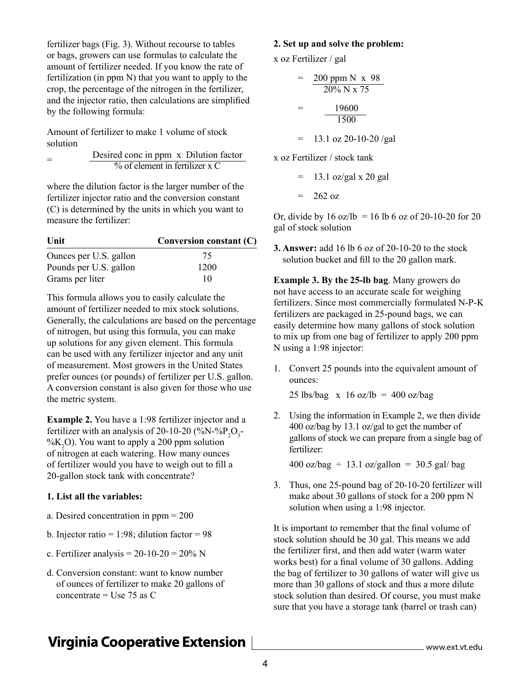fertilizer bags (Fig. 3). Without recourse to tables or bags, growers can use formulas to calculate the amount of fertilizer needed. If you know the rate of fertilization (in ppm N) that you want to apply to the crop, the percentage of the nitrogen in the fertilizer, and the injector ratio, then calculations are simplified by the following formula:

Amount of fertilizer to make 1 volume of stock solution

$$
= \frac{\text{Desired conc in ppm x Dilution factor}}{\frac{9}{6} \text{ of element in fertilizer x C}}
$$

where the dilution factor is the larger number of the fertilizer injector ratio and the conversion constant (C) is determined by the units in which you want to measure the fertilizer:

| Unit                   | Conversion constant $(C)$ |  |
|------------------------|---------------------------|--|
| Ounces per U.S. gallon | 75                        |  |
| Pounds per U.S. gallon | 1200                      |  |
| Grams per liter        | 10                        |  |

This formula allows you to easily calculate the amount of fertilizer needed to mix stock solutions. Generally, the calculations are based on the percentage of nitrogen, but using this formula, you can make up solutions for any given element. This formula can be used with any fertilizer injector and any unit of measurement. Most growers in the United States prefer ounces (or pounds) of fertilizer per U.S. gallon. A conversion constant is also given for those who use the metric system.

**Example 2.** You have a 1:98 fertilizer injector and a fertilizer with an analysis of 20-10-20 (%N-% $P_2O_5$ -% $K<sub>2</sub>O$ ). You want to apply a 200 ppm solution of nitrogen at each watering. How many ounces of fertilizer would you have to weigh out to fill a 20-gallon stock tank with concentrate?

#### **1. List all the variables:**

- a. Desired concentration in ppm = 200
- b. Injector ratio = 1:98; dilution factor =  $98$
- c. Fertilizer analysis =  $20-10-20 = 20\%$  N
- d. Conversion constant: want to know number of ounces of fertilizer to make 20 gallons of concentrate = Use  $75$  as C

#### **2. Set up and solve the problem:**

x oz Fertilizer / gal

x oz

$$
= \frac{200 \text{ ppm N} \times 98}{20\% \text{ N} \times 75}
$$
  
= 
$$
\frac{19600}{1500}
$$
  
= 13.1 oz 20-10-20/gal  
x oz Fertilizer / stock tank

 $=$  13.1 oz/gal x 20 gal  $= 262 oz$ 

Or, divide by  $16 \text{ oz/lb} = 16 \text{ lb} 6 \text{ oz} 0 \text{ s} 20 - 10 - 20 \text{ for } 20$ gal of stock solution

**3. Answer:** add 16 lb 6 oz of 20-10-20 to the stock solution bucket and fill to the 20 gallon mark.

**Example 3. By the 25-lb bag**. Many growers do not have access to an accurate scale for weighing fertilizers. Since most commercially formulated N-P-K fertilizers are packaged in 25-pound bags, we can easily determine how many gallons of stock solution to mix up from one bag of fertilizer to apply 200 ppm N using a 1:98 injector:

1. Convert 25 pounds into the equivalent amount of ounces:

25 lbs/bag  $x$  16 oz/lb = 400 oz/bag

2. Using the information in Example 2, we then divide 400 oz/bag by 13.1 oz/gal to get the number of gallons of stock we can prepare from a single bag of fertilizer:

 $400 \text{ oz/bag} \div 13.1 \text{ oz/gallon} = 30.5 \text{ gal/bag}$ 

3. Thus, one 25-pound bag of 20-10-20 fertilizer will make about 30 gallons of stock for a 200 ppm N solution when using a 1:98 injector.

It is important to remember that the final volume of stock solution should be 30 gal. This means we add the fertilizer first, and then add water (warm water works best) for a final volume of 30 gallons. Adding the bag of fertilizer to 30 gallons of water will give us more than 30 gallons of stock and thus a more dilute stock solution than desired. Of course, you must make sure that you have a storage tank (barrel or trash can)

### **Virginia Cooperative Extension**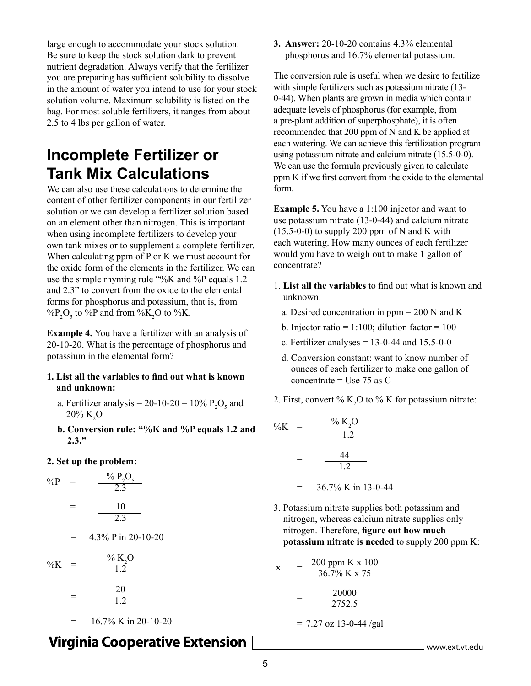large enough to accommodate your stock solution. Be sure to keep the stock solution dark to prevent nutrient degradation. Always verify that the fertilizer you are preparing has sufficient solubility to dissolve in the amount of water you intend to use for your stock solution volume. Maximum solubility is listed on the bag. For most soluble fertilizers, it ranges from about 2.5 to 4 lbs per gallon of water.

### **Incomplete Fertilizer or Tank Mix Calculations**

We can also use these calculations to determine the content of other fertilizer components in our fertilizer solution or we can develop a fertilizer solution based on an element other than nitrogen. This is important when using incomplete fertilizers to develop your own tank mixes or to supplement a complete fertilizer. When calculating ppm of P or K we must account for the oxide form of the elements in the fertilizer. We can use the simple rhyming rule "%K and %P equals 1.2 and 2.3" to convert from the oxide to the elemental forms for phosphorus and potassium, that is, from % $P_2O_5$  to %P and from %K<sub>2</sub>O to %K.

**Example 4.** You have a fertilizer with an analysis of 20-10-20. What is the percentage of phosphorus and potassium in the elemental form?

#### **1. List all the variables to find out what is known and unknown:**

- a. Fertilizer analysis =  $20-10-20 = 10\% \text{ P}_2\text{O}_5$  and  $20\%~\mathrm{K}_2\mathrm{O}$
- **b. Conversion rule: "%K and %P equals 1.2 and 2.3."**

#### **2. Set up the problem:**

$$
\%P = \frac{\% P_2O_5}{2.3}
$$
  
=  $\frac{10}{2.3}$   
= 4.3% P in 20-10-20  

$$
\%K = \frac{\% K_2O}{1.2}
$$
  
=  $\frac{20}{1.2}$ 

 $= 16.7\%$  K in 20-10-20

### **Virginia Cooperative Extension**

**3. Answer:** 20-10-20 contains 4.3% elemental phosphorus and 16.7% elemental potassium.

The conversion rule is useful when we desire to fertilize with simple fertilizers such as potassium nitrate (13- 0-44). When plants are grown in media which contain adequate levels of phosphorus (for example, from a pre-plant addition of superphosphate), it is often recommended that 200 ppm of N and K be applied at each watering. We can achieve this fertilization program using potassium nitrate and calcium nitrate (15.5-0-0). We can use the formula previously given to calculate ppm K if we first convert from the oxide to the elemental form.

**Example 5.** You have a 1:100 injector and want to use potassium nitrate (13-0-44) and calcium nitrate  $(15.5-0-0)$  to supply 200 ppm of N and K with each watering. How many ounces of each fertilizer would you have to weigh out to make 1 gallon of concentrate?

- 1. **List all the variables** to find out what is known and unknown:
	- a. Desired concentration in ppm = 200 N and K
	- b. Injector ratio = 1:100; dilution factor =  $100$
	- c. Fertilizer analyses =  $13-0-44$  and  $15.5-0-0$
	- d. Conversion constant: want to know number of ounces of each fertilizer to make one gallon of concentrate  $=$  Use 75 as C
- 2. First, convert %  $K_2O$  to % K for potassium nitrate:

$$
\%K = \frac{\% K_{2}O}{1.2}
$$
  
= 
$$
\frac{44}{1.2}
$$
  
= 36.7% K in 13-0-44

3. Potassium nitrate supplies both potassium and nitrogen, whereas calcium nitrate supplies only nitrogen. Therefore, **figure out how much potassium nitrate is needed** to supply 200 ppm K:

$$
x = \frac{200 \text{ ppm K} \times 100}{36.7\% \text{ K} \times 75}
$$

$$
= \frac{20000}{2752.5}
$$

 $= 7.27$  oz 13-0-44/gal

www.ext.vt.edu